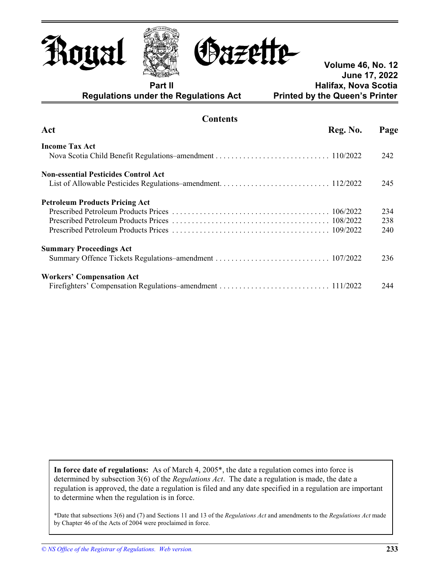





**Volume 46, No. 12 June 17, 2022 Part II Part II Part II Part II Halifax, Nova Scotia Regulations under the Regulations Act Printed by the Queen's Printer** 

| Contents                                    |          |      |
|---------------------------------------------|----------|------|
| Act                                         | Reg. No. | Page |
| <b>Income Tax Act</b>                       |          |      |
|                                             |          | 242  |
| <b>Non-essential Pesticides Control Act</b> |          |      |
|                                             |          | 245  |
| <b>Petroleum Products Pricing Act</b>       |          |      |
|                                             |          | 234  |
|                                             |          | 238  |
|                                             |          | 240  |
| <b>Summary Proceedings Act</b>              |          |      |
|                                             |          | 236  |
| <b>Workers' Compensation Act</b>            |          |      |
|                                             |          | 244  |

**Contents** 

 **In force date of regulations:** As of March 4, 2005\*, the date a regulation comes into force is determined by subsection 3(6) of the *Regulations Act*. The date a regulation is made, the date a regulation is approved, the date a regulation is filed and any date specified in a regulation are important to determine when the regulation is in force.

\*Date that subsections 3(6) and (7) and Sections 11 and 13 of the *Regulations Act* and amendments to the *Regulations Act* made by Chapter 46 of the Acts of 2004 were proclaimed in force.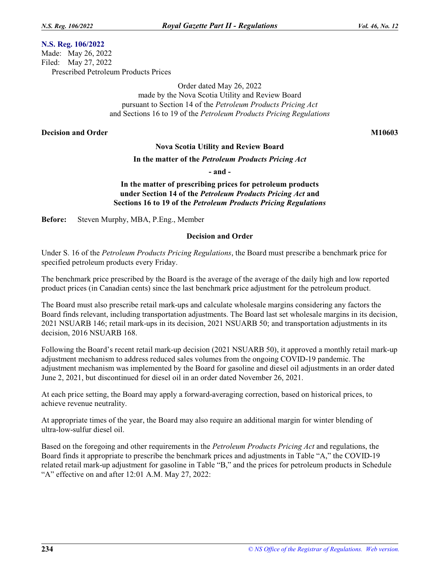### **N.S. Reg. 106/2022**

Made: May 26, 2022 Filed: May 27, 2022 Prescribed Petroleum Products Prices

> Order dated May 26, 2022 made by the Nova Scotia Utility and Review Board pursuant to Section 14 of the *Petroleum Products Pricing Act*  and Sections 16 to 19 of the *Petroleum Products Pricing Regulations*

#### **Decision and Order M10603 M10603**

### **Nova Scotia Utility and Review Board**

#### **In the matter of the** *Petroleum Products Pricing Act*

**- and -**

# **In the matter of prescribing prices for petroleum products under Section 14 of the** *Petroleum Products Pricing Act* **and Sections 16 to 19 of the** *Petroleum Products Pricing Regulations*

**Before:** Steven Murphy, MBA, P.Eng., Member

#### **Decision and Order**

Under S. 16 of the *Petroleum Products Pricing Regulations*, the Board must prescribe a benchmark price for specified petroleum products every Friday.

The benchmark price prescribed by the Board is the average of the average of the daily high and low reported product prices (in Canadian cents) since the last benchmark price adjustment for the petroleum product.

The Board must also prescribe retail mark-ups and calculate wholesale margins considering any factors the Board finds relevant, including transportation adjustments. The Board last set wholesale margins in its decision, 2021 NSUARB 146; retail mark-ups in its decision, 2021 NSUARB 50; and transportation adjustments in its decision, 2016 NSUARB 168.

Following the Board's recent retail mark-up decision (2021 NSUARB 50), it approved a monthly retail mark-up adjustment mechanism to address reduced sales volumes from the ongoing COVID-19 pandemic. The adjustment mechanism was implemented by the Board for gasoline and diesel oil adjustments in an order dated June 2, 2021, but discontinued for diesel oil in an order dated November 26, 2021.

At each price setting, the Board may apply a forward-averaging correction, based on historical prices, to achieve revenue neutrality.

At appropriate times of the year, the Board may also require an additional margin for winter blending of ultra-low-sulfur diesel oil.

Based on the foregoing and other requirements in the *Petroleum Products Pricing Act* and regulations, the Board finds it appropriate to prescribe the benchmark prices and adjustments in Table "A," the COVID-19 related retail mark-up adjustment for gasoline in Table "B," and the prices for petroleum products in Schedule "A" effective on and after 12:01 A.M. May 27, 2022: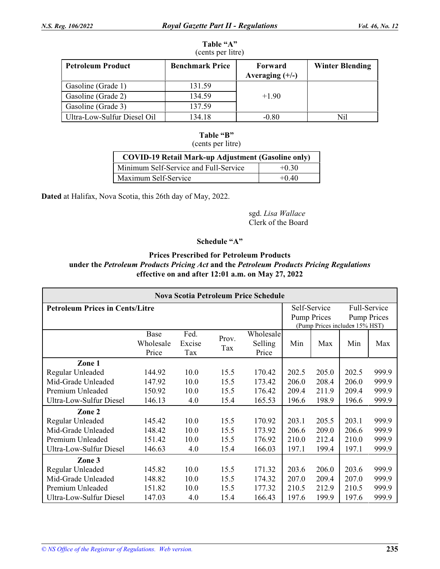#### **Table "A"**  (cents per litre)

| $\blacksquare$              |                        |                              |                        |  |  |  |  |  |  |
|-----------------------------|------------------------|------------------------------|------------------------|--|--|--|--|--|--|
| <b>Petroleum Product</b>    | <b>Benchmark Price</b> | Forward<br>Averaging $(+/-)$ | <b>Winter Blending</b> |  |  |  |  |  |  |
| Gasoline (Grade 1)          | 131.59                 |                              |                        |  |  |  |  |  |  |
| Gasoline (Grade 2)          | 134.59                 | $+1.90$                      |                        |  |  |  |  |  |  |
| Gasoline (Grade 3)          | 137.59                 |                              |                        |  |  |  |  |  |  |
| Ultra-Low-Sulfur Diesel Oil | 134.18                 | -0.80                        | Nil                    |  |  |  |  |  |  |

# **Table "B"**

(cents per litre)

| <b>COVID-19 Retail Mark-up Adjustment (Gasoline only)</b> |         |  |  |  |  |
|-----------------------------------------------------------|---------|--|--|--|--|
| Minimum Self-Service and Full-Service                     | $+0.30$ |  |  |  |  |
| Maximum Self-Service                                      | $+0.40$ |  |  |  |  |

**Dated** at Halifax, Nova Scotia, this 26th day of May, 2022.

sgd. *Lisa Wallace*  Clerk of the Board

# **Schedule "A"**

# **Prices Prescribed for Petroleum Products under the** *Petroleum Products Pricing Act* **and the** *Petroleum Products Pricing Regulations*  **effective on and after 12:01 a.m. on May 27, 2022**

| <b>Nova Scotia Petroleum Price Schedule</b> |                            |                       |              |                               |                                                                                                            |       |       |       |
|---------------------------------------------|----------------------------|-----------------------|--------------|-------------------------------|------------------------------------------------------------------------------------------------------------|-------|-------|-------|
| <b>Petroleum Prices in Cents/Litre</b>      |                            |                       |              |                               | Self-Service<br>Full-Service<br><b>Pump Prices</b><br><b>Pump Prices</b><br>(Pump Prices includes 15% HST) |       |       |       |
|                                             | Base<br>Wholesale<br>Price | Fed.<br>Excise<br>Tax | Prov.<br>Tax | Wholesale<br>Selling<br>Price | Min                                                                                                        | Max   | Min   | Max   |
| Zone 1                                      |                            |                       |              |                               |                                                                                                            |       |       |       |
| Regular Unleaded                            | 144.92                     | 10.0                  | 15.5         | 170.42                        | 202.5                                                                                                      | 205.0 | 202.5 | 999.9 |
| Mid-Grade Unleaded                          | 147.92                     | 10.0                  | 15.5         | 173.42                        | 206.0                                                                                                      | 208.4 | 206.0 | 999.9 |
| Premium Unleaded                            | 150.92                     | 10.0                  | 15.5         | 176.42                        | 209.4                                                                                                      | 211.9 | 209.4 | 999.9 |
| Ultra-Low-Sulfur Diesel                     | 146.13                     | 4.0                   | 15.4         | 165.53                        | 196.6                                                                                                      | 198.9 | 196.6 | 999.9 |
| Zone 2                                      |                            |                       |              |                               |                                                                                                            |       |       |       |
| Regular Unleaded                            | 145.42                     | 10.0                  | 15.5         | 170.92                        | 203.1                                                                                                      | 205.5 | 203.1 | 999.9 |
| Mid-Grade Unleaded                          | 148.42                     | 10.0                  | 15.5         | 173.92                        | 206.6                                                                                                      | 209.0 | 206.6 | 999.9 |
| Premium Unleaded                            | 151.42                     | 10.0                  | 15.5         | 176.92                        | 210.0                                                                                                      | 212.4 | 210.0 | 999.9 |
| Ultra-Low-Sulfur Diesel                     | 146.63                     | 4.0                   | 15.4         | 166.03                        | 197.1                                                                                                      | 199.4 | 197.1 | 999.9 |
| Zone 3                                      |                            |                       |              |                               |                                                                                                            |       |       |       |
| Regular Unleaded                            | 145.82                     | 10.0                  | 15.5         | 171.32                        | 203.6                                                                                                      | 206.0 | 203.6 | 999.9 |
| Mid-Grade Unleaded                          | 148.82                     | 10.0                  | 15.5         | 174.32                        | 207.0                                                                                                      | 209.4 | 207.0 | 999.9 |
| Premium Unleaded                            | 151.82                     | 10.0                  | 15.5         | 177.32                        | 210.5                                                                                                      | 212.9 | 210.5 | 999.9 |
| <b>Ultra-Low-Sulfur Diesel</b>              | 147.03                     | 4.0                   | 15.4         | 166.43                        | 197.6                                                                                                      | 199.9 | 197.6 | 999.9 |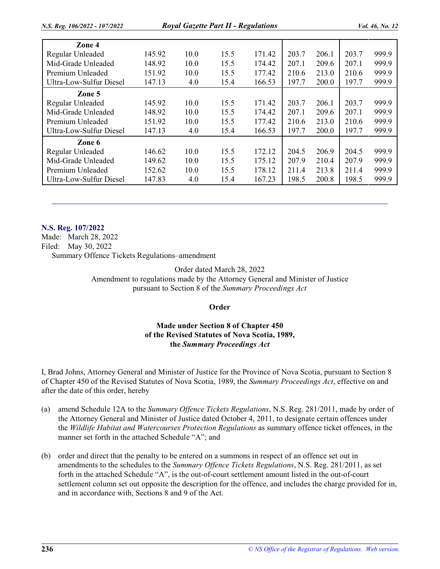| Zone 4                  |        |      |      |        |       |       |       |       |
|-------------------------|--------|------|------|--------|-------|-------|-------|-------|
| Regular Unleaded        | 145.92 | 10.0 | 15.5 | 171.42 | 203.7 | 206.1 | 203.7 | 999.9 |
| Mid-Grade Unleaded      | 148.92 | 10.0 | 15.5 | 174.42 | 207.1 | 209.6 | 207.1 | 999.9 |
| Premium Unleaded        | 151.92 | 10.0 | 15.5 | 177.42 | 210.6 | 213.0 | 210.6 | 999.9 |
| Ultra-Low-Sulfur Diesel | 147.13 | 4.0  | 15.4 | 166.53 | 197.7 | 200.0 | 197.7 | 999.9 |
| Zone 5                  |        |      |      |        |       |       |       |       |
| Regular Unleaded        | 145.92 | 10.0 | 15.5 | 171.42 | 203.7 | 206.1 | 203.7 | 999.9 |
| Mid-Grade Unleaded      | 148.92 | 10.0 | 15.5 | 174.42 | 207.1 | 209.6 | 207.1 | 999.9 |
| Premium Unleaded        | 151.92 | 10.0 | 15.5 | 177.42 | 210.6 | 213.0 | 210.6 | 999.9 |
| Ultra-Low-Sulfur Diesel | 147.13 | 4.0  | 15.4 | 166.53 | 197.7 | 200.0 | 197.7 | 999.9 |
| Zone 6                  |        |      |      |        |       |       |       |       |
| Regular Unleaded        | 146.62 | 10.0 | 15.5 | 172.12 | 204.5 | 206.9 | 204.5 | 999.9 |
| Mid-Grade Unleaded      | 149.62 | 10.0 | 15.5 | 175.12 | 207.9 | 210.4 | 207.9 | 999.9 |
| Premium Unleaded        | 152.62 | 10.0 | 15.5 | 178.12 | 211.4 | 213.8 | 211.4 | 999.9 |
| Ultra-Low-Sulfur Diesel | 147.83 | 4.0  | 15.4 | 167.23 | 198.5 | 200.8 | 198.5 | 999.9 |

#### **N.S. Reg. 107/2022**

Made: March 28, 2022 Filed: May 30, 2022 Summary Offence Tickets Regulations–amendment

Order dated March 28, 2022

Amendment to regulations made by the Attorney General and Minister of Justice pursuant to Section 8 of the *Summary Proceedings Act* 

### **Order**

# **Made under Section 8 of Chapter 450 of the Revised Statutes of Nova Scotia, 1989, the** *Summary Proceedings Act*

I, Brad Johns, Attorney General and Minister of Justice for the Province of Nova Scotia, pursuant to Section 8 of Chapter 450 of the Revised Statutes of Nova Scotia, 1989, the *Summary Proceedings Act*, effective on and after the date of this order, hereby

- (a) amend Schedule 12A to the *Summary Offence Tickets Regulations*, N.S. Reg. 281/2011, made by order of the Attorney General and Minister of Justice dated October 4, 2011, to designate certain offences under the *Wildlife Habitat and Watercourses Protection Regulations* as summary offence ticket offences, in the manner set forth in the attached Schedule "A"; and
- (b) order and direct that the penalty to be entered on a summons in respect of an offence set out in amendments to the schedules to the *Summary Offence Tickets Regulations*, N.S. Reg. 281/2011, as set forth in the attached Schedule "A", is the out-of-court settlement amount listed in the out-of-court settlement column set out opposite the description for the offence, and includes the charge provided for in, and in accordance with, Sections 8 and 9 of the Act.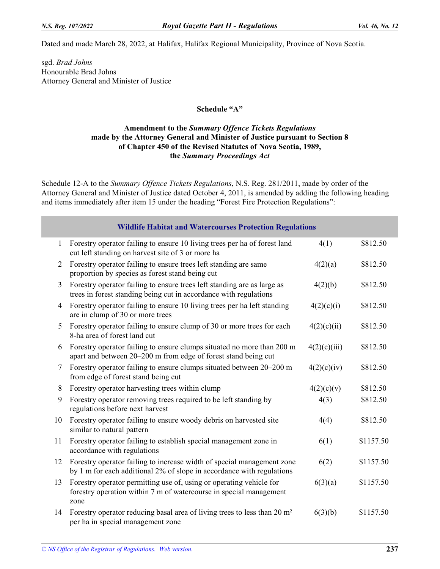Dated and made March 28, 2022, at Halifax, Halifax Regional Municipality, Province of Nova Scotia.

sgd. *Brad Johns*  Honourable Brad Johns Attorney General and Minister of Justice

# **Schedule "A"**

# **Amendment to the** *Summary Offence Tickets Regulations*  **made by the Attorney General and Minister of Justice pursuant to Section 8 of Chapter 450 of the Revised Statutes of Nova Scotia, 1989, the** *Summary Proceedings Act*

Schedule 12-A to the *Summary Offence Tickets Regulations*, N.S. Reg. 281/2011, made by order of the Attorney General and Minister of Justice dated October 4, 2011, is amended by adding the following heading and items immediately after item 15 under the heading "Forest Fire Protection Regulations":

|              | <b>Wildlife Habitat and Watercourses Protection Regulations</b>                                                                                   |              |           |
|--------------|---------------------------------------------------------------------------------------------------------------------------------------------------|--------------|-----------|
| $\mathbf{1}$ | Forestry operator failing to ensure 10 living trees per ha of forest land<br>cut left standing on harvest site of 3 or more ha                    | 4(1)         | \$812.50  |
| 2            | Forestry operator failing to ensure trees left standing are same<br>proportion by species as forest stand being cut                               | 4(2)(a)      | \$812.50  |
| 3            | Forestry operator failing to ensure trees left standing are as large as<br>trees in forest standing being cut in accordance with regulations      | 4(2)(b)      | \$812.50  |
| 4            | Forestry operator failing to ensure 10 living trees per ha left standing<br>are in clump of 30 or more trees                                      | 4(2)(c)(i)   | \$812.50  |
| 5            | Forestry operator failing to ensure clump of 30 or more trees for each<br>8-ha area of forest land cut                                            | 4(2)(c)(ii)  | \$812.50  |
| 6            | Forestry operator failing to ensure clumps situated no more than 200 m<br>apart and between 20–200 m from edge of forest stand being cut          | 4(2)(c)(iii) | \$812.50  |
| 7            | Forestry operator failing to ensure clumps situated between 20–200 m<br>from edge of forest stand being cut                                       | 4(2)(c)(iv)  | \$812.50  |
| 8            | Forestry operator harvesting trees within clump                                                                                                   | 4(2)(c)(v)   | \$812.50  |
| 9            | Forestry operator removing trees required to be left standing by<br>regulations before next harvest                                               | 4(3)         | \$812.50  |
| 10           | Forestry operator failing to ensure woody debris on harvested site<br>similar to natural pattern                                                  | 4(4)         | \$812.50  |
| 11           | Forestry operator failing to establish special management zone in<br>accordance with regulations                                                  | 6(1)         | \$1157.50 |
| 12           | Forestry operator failing to increase width of special management zone<br>by 1 m for each additional 2% of slope in accordance with regulations   | 6(2)         | \$1157.50 |
| 13           | Forestry operator permitting use of, using or operating vehicle for<br>forestry operation within 7 m of watercourse in special management<br>zone | 6(3)(a)      | \$1157.50 |
| 14           | Forestry operator reducing basal area of living trees to less than 20 m <sup>2</sup><br>per ha in special management zone                         | 6(3)(b)      | \$1157.50 |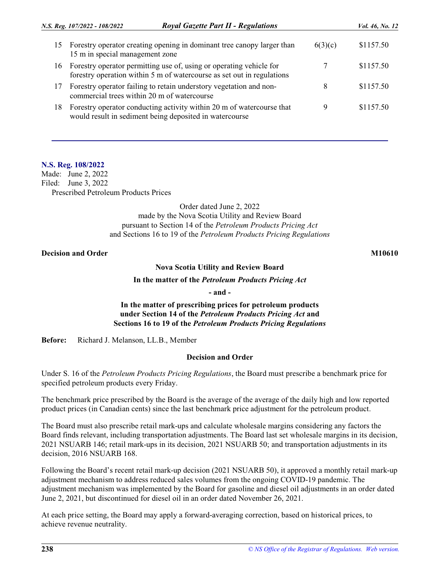|    | <b>Royal Gazette Part II - Regulations</b><br>N.S. Reg. 107/2022 - 108/2022                                                                   |         | <i>Vol.</i> 46, No. 12 |
|----|-----------------------------------------------------------------------------------------------------------------------------------------------|---------|------------------------|
| 15 | Forestry operator creating opening in dominant tree canopy larger than<br>15 m in special management zone                                     | 6(3)(c) | \$1157.50              |
| 16 | Forestry operator permitting use of, using or operating vehicle for<br>forestry operation within 5 m of watercourse as set out in regulations |         | \$1157.50              |
| 17 | Forestry operator failing to retain understory vegetation and non-<br>commercial trees within 20 m of watercourse                             | 8       | \$1157.50              |
| 18 | Forestry operator conducting activity within 20 m of watercourse that<br>would result in sediment being deposited in watercourse              | Q       | \$1157.50              |

### **N.S. Reg. 108/2022**

Made: June 2, 2022 Filed: June 3, 2022 Prescribed Petroleum Products Prices

> Order dated June 2, 2022 made by the Nova Scotia Utility and Review Board pursuant to Section 14 of the *Petroleum Products Pricing Act*  and Sections 16 to 19 of the *Petroleum Products Pricing Regulations*

# **Decision and Order M10610 M10610**

### **Nova Scotia Utility and Review Board**

**In the matter of the** *Petroleum Products Pricing Act* 

**- and -**

# **In the matter of prescribing prices for petroleum products under Section 14 of the** *Petroleum Products Pricing Act* **and Sections 16 to 19 of the** *Petroleum Products Pricing Regulations*

**Before:** Richard J. Melanson, LL.B., Member

### **Decision and Order**

Under S. 16 of the *Petroleum Products Pricing Regulations*, the Board must prescribe a benchmark price for specified petroleum products every Friday.

The benchmark price prescribed by the Board is the average of the average of the daily high and low reported product prices (in Canadian cents) since the last benchmark price adjustment for the petroleum product.

The Board must also prescribe retail mark-ups and calculate wholesale margins considering any factors the Board finds relevant, including transportation adjustments. The Board last set wholesale margins in its decision, 2021 NSUARB 146; retail mark-ups in its decision, 2021 NSUARB 50; and transportation adjustments in its decision, 2016 NSUARB 168.

Following the Board's recent retail mark-up decision (2021 NSUARB 50), it approved a monthly retail mark-up adjustment mechanism to address reduced sales volumes from the ongoing COVID-19 pandemic. The adjustment mechanism was implemented by the Board for gasoline and diesel oil adjustments in an order dated June 2, 2021, but discontinued for diesel oil in an order dated November 26, 2021.

At each price setting, the Board may apply a forward-averaging correction, based on historical prices, to achieve revenue neutrality.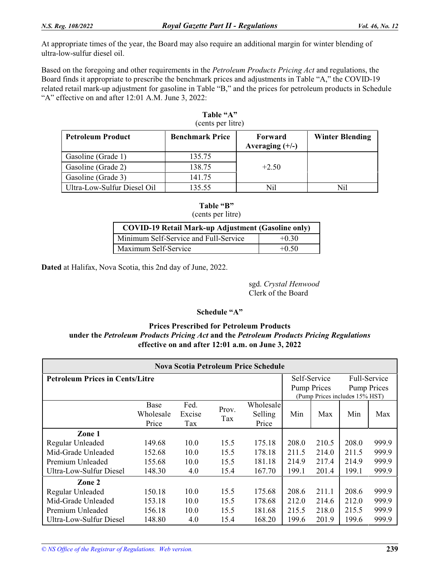At appropriate times of the year, the Board may also require an additional margin for winter blending of ultra-low-sulfur diesel oil.

Based on the foregoing and other requirements in the *Petroleum Products Pricing Act* and regulations, the Board finds it appropriate to prescribe the benchmark prices and adjustments in Table "A," the COVID-19 related retail mark-up adjustment for gasoline in Table "B," and the prices for petroleum products in Schedule "A" effective on and after 12:01 A.M. June 3, 2022:

| <b>Petroleum Product</b>    | <b>Benchmark Price</b> | Forward<br>Averaging $(+/-)$ | <b>Winter Blending</b> |  |  |  |  |  |  |
|-----------------------------|------------------------|------------------------------|------------------------|--|--|--|--|--|--|
| Gasoline (Grade 1)          | 135.75                 |                              |                        |  |  |  |  |  |  |
| Gasoline (Grade 2)          | 138.75                 | $+2.50$                      |                        |  |  |  |  |  |  |
| Gasoline (Grade 3)          | 141.75                 |                              |                        |  |  |  |  |  |  |
| Ultra-Low-Sulfur Diesel Oil | 135.55                 | Nil                          | Nil                    |  |  |  |  |  |  |

| Table "A"         |  |
|-------------------|--|
| (cents per litre) |  |

### **Table "B"**  (cents per litre)

| <b>COVID-19 Retail Mark-up Adjustment (Gasoline only)</b> |         |  |  |  |  |
|-----------------------------------------------------------|---------|--|--|--|--|
| Minimum Self-Service and Full-Service                     | $+0.30$ |  |  |  |  |
| Maximum Self-Service                                      | $+0.50$ |  |  |  |  |

**Dated** at Halifax, Nova Scotia, this 2nd day of June, 2022.

sgd. *Crystal Henwood*  Clerk of the Board

# **Schedule "A"**

# **Prices Prescribed for Petroleum Products under the** *Petroleum Products Pricing Act* **and the** *Petroleum Products Pricing Regulations*  **effective on and after 12:01 a.m. on June 3, 2022**

| Nova Scotia Petroleum Price Schedule                   |           |        |       |           |       |                    |                                |                    |
|--------------------------------------------------------|-----------|--------|-------|-----------|-------|--------------------|--------------------------------|--------------------|
| <b>Petroleum Prices in Cents/Litre</b><br>Self-Service |           |        |       |           |       |                    |                                | Full-Service       |
|                                                        |           |        |       |           |       | <b>Pump Prices</b> |                                | <b>Pump Prices</b> |
|                                                        |           |        |       |           |       |                    | (Pump Prices includes 15% HST) |                    |
|                                                        | Base      | Fed.   |       | Wholesale |       |                    |                                |                    |
|                                                        | Wholesale | Excise | Prov. | Selling   | Min   | Max                | Min                            | Max                |
|                                                        | Price     | Tax    | Tax   | Price     |       |                    |                                |                    |
| Zone 1                                                 |           |        |       |           |       |                    |                                |                    |
| Regular Unleaded                                       | 149.68    | 10.0   | 15.5  | 175.18    | 208.0 | 210.5              | 208.0                          | 999.9              |
| Mid-Grade Unleaded                                     | 152.68    | 10.0   | 15.5  | 178.18    | 211.5 | 214.0              | 211.5                          | 999.9              |
| Premium Unleaded                                       | 155.68    | 10.0   | 15.5  | 181.18    | 214.9 | 217.4              | 214.9                          | 999.9              |
| Ultra-Low-Sulfur Diesel                                | 148.30    | 4.0    | 15.4  | 167.70    | 199.1 | 201.4              | 199.1                          | 999.9              |
| Zone 2                                                 |           |        |       |           |       |                    |                                |                    |
| Regular Unleaded                                       | 150.18    | 10.0   | 15.5  | 175.68    | 208.6 | 211.1              | 208.6                          | 999.9              |
| Mid-Grade Unleaded                                     | 153.18    | 10.0   | 15.5  | 178.68    | 212.0 | 214.6              | 212.0                          | 999.9              |
| Premium Unleaded                                       | 156.18    | 10.0   | 15.5  | 181.68    | 215.5 | 218.0              | 215.5                          | 999.9              |
| Ultra-Low-Sulfur Diesel                                | 148.80    | 4.0    | 15.4  | 168.20    | 199.6 | 201.9              | 199.6                          | 999.9              |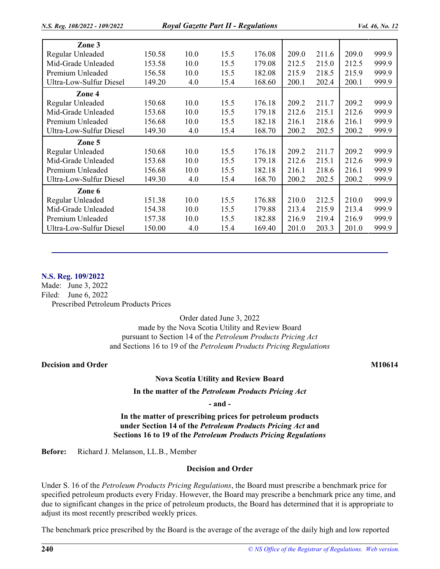| Zone 3                  |        |      |      |        |       |       |       |       |
|-------------------------|--------|------|------|--------|-------|-------|-------|-------|
| Regular Unleaded        | 150.58 | 10.0 | 15.5 | 176.08 | 209.0 | 211.6 | 209.0 | 999.9 |
| Mid-Grade Unleaded      | 153.58 | 10.0 | 15.5 | 179.08 | 212.5 | 215.0 | 212.5 | 999.9 |
| Premium Unleaded        | 156.58 | 10.0 | 15.5 | 182.08 | 215.9 | 218.5 | 215.9 | 999.9 |
| Ultra-Low-Sulfur Diesel | 149.20 | 4.0  | 15.4 | 168.60 | 200.1 | 202.4 | 200.1 | 999.9 |
| Zone 4                  |        |      |      |        |       |       |       |       |
| Regular Unleaded        | 150.68 | 10.0 | 15.5 | 176.18 | 209.2 | 211.7 | 209.2 | 999.9 |
| Mid-Grade Unleaded      | 153.68 | 10.0 | 15.5 | 179.18 | 212.6 | 215.1 | 212.6 | 999.9 |
| Premium Unleaded        | 156.68 | 10.0 | 15.5 | 182.18 | 216.1 | 218.6 | 216.1 | 999.9 |
| Ultra-Low-Sulfur Diesel | 149.30 | 4.0  | 15.4 | 168.70 | 200.2 | 202.5 | 200.2 | 999.9 |
| Zone 5                  |        |      |      |        |       |       |       |       |
| Regular Unleaded        | 150.68 | 10.0 | 15.5 | 176.18 | 209.2 | 211.7 | 209.2 | 999.9 |
| Mid-Grade Unleaded      | 153.68 | 10.0 | 15.5 | 179.18 | 212.6 | 215.1 | 212.6 | 999.9 |
| Premium Unleaded        | 156.68 | 10.0 | 15.5 | 182.18 | 216.1 | 218.6 | 216.1 | 999.9 |
| Ultra-Low-Sulfur Diesel | 149.30 | 4.0  | 15.4 | 168.70 | 200.2 | 202.5 | 200.2 | 999.9 |
| Zone 6                  |        |      |      |        |       |       |       |       |
| Regular Unleaded        | 151.38 | 10.0 | 15.5 | 176.88 | 210.0 | 212.5 | 210.0 | 999.9 |
| Mid-Grade Unleaded      | 154.38 | 10.0 | 15.5 | 179.88 | 213.4 | 215.9 | 213.4 | 999.9 |
| Premium Unleaded        | 157.38 | 10.0 | 15.5 | 182.88 | 216.9 | 219.4 | 216.9 | 999.9 |
| Ultra-Low-Sulfur Diesel | 150.00 | 4.0  | 15.4 | 169.40 | 201.0 | 203.3 | 201.0 | 999.9 |

### **N.S. Reg. 109/2022**

Made: June 3, 2022 Filed: June 6, 2022 Prescribed Petroleum Products Prices

Order dated June 3, 2022

made by the Nova Scotia Utility and Review Board pursuant to Section 14 of the *Petroleum Products Pricing Act*  and Sections 16 to 19 of the *Petroleum Products Pricing Regulations* 

# **Decision and Order M10614 M10614**

### **Nova Scotia Utility and Review Board**

**In the matter of the** *Petroleum Products Pricing Act* 

**- and -**

**In the matter of prescribing prices for petroleum products under Section 14 of the** *Petroleum Products Pricing Act* **and Sections 16 to 19 of the** *Petroleum Products Pricing Regulations* 

**Before:** Richard J. Melanson, LL.B., Member

#### **Decision and Order**

Under S. 16 of the *Petroleum Products Pricing Regulations*, the Board must prescribe a benchmark price for specified petroleum products every Friday. However, the Board may prescribe a benchmark price any time, and due to significant changes in the price of petroleum products, the Board has determined that it is appropriate to adjust its most recently prescribed weekly prices.

The benchmark price prescribed by the Board is the average of the average of the daily high and low reported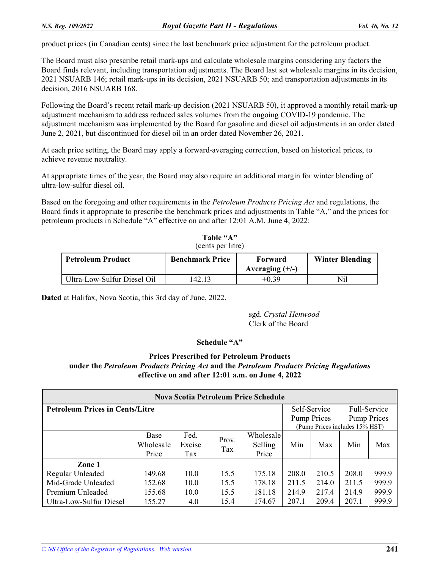product prices (in Canadian cents) since the last benchmark price adjustment for the petroleum product.

The Board must also prescribe retail mark-ups and calculate wholesale margins considering any factors the Board finds relevant, including transportation adjustments. The Board last set wholesale margins in its decision, 2021 NSUARB 146; retail mark-ups in its decision, 2021 NSUARB 50; and transportation adjustments in its decision, 2016 NSUARB 168.

Following the Board's recent retail mark-up decision (2021 NSUARB 50), it approved a monthly retail mark-up adjustment mechanism to address reduced sales volumes from the ongoing COVID-19 pandemic. The adjustment mechanism was implemented by the Board for gasoline and diesel oil adjustments in an order dated June 2, 2021, but discontinued for diesel oil in an order dated November 26, 2021.

At each price setting, the Board may apply a forward-averaging correction, based on historical prices, to achieve revenue neutrality.

At appropriate times of the year, the Board may also require an additional margin for winter blending of ultra-low-sulfur diesel oil.

Based on the foregoing and other requirements in the *Petroleum Products Pricing Act* and regulations, the Board finds it appropriate to prescribe the benchmark prices and adjustments in Table "A," and the prices for petroleum products in Schedule "A" effective on and after 12:01 A.M. June 4, 2022:

| (cents per litre)           |                        |                   |                        |  |  |  |  |
|-----------------------------|------------------------|-------------------|------------------------|--|--|--|--|
| <b>Petroleum Product</b>    | <b>Benchmark Price</b> | Forward           | <b>Winter Blending</b> |  |  |  |  |
|                             |                        | Averaging $(+/-)$ |                        |  |  |  |  |
| Ultra-Low-Sulfur Diesel Oil | 42.13                  | $+0.39$           | Nil                    |  |  |  |  |

**Table "A"** 

**Dated** at Halifax, Nova Scotia, this 3rd day of June, 2022.

sgd. *Crystal Henwood*  Clerk of the Board

### **Schedule "A"**

# **Prices Prescribed for Petroleum Products under the** *Petroleum Products Pricing Act* **and the** *Petroleum Products Pricing Regulations*  **effective on and after 12:01 a.m. on June 4, 2022**

| <b>Nova Scotia Petroleum Price Schedule</b> |           |        |       |                                |                    |       |                    |       |
|---------------------------------------------|-----------|--------|-------|--------------------------------|--------------------|-------|--------------------|-------|
| <b>Petroleum Prices in Cents/Litre</b>      |           |        |       |                                | Self-Service       |       | Full-Service       |       |
|                                             |           |        |       |                                | <b>Pump Prices</b> |       | <b>Pump Prices</b> |       |
|                                             |           |        |       | (Pump Prices includes 15% HST) |                    |       |                    |       |
|                                             | Base      | Fed.   | Prov. | Wholesale                      |                    |       |                    |       |
|                                             | Wholesale | Excise | Tax   | Selling                        | Min                | Max   | Min                | Max   |
|                                             | Price     | Tax    |       | Price                          |                    |       |                    |       |
| Zone 1                                      |           |        |       |                                |                    |       |                    |       |
| Regular Unleaded                            | 149.68    | 10.0   | 15.5  | 175.18                         | 208.0              | 210.5 | 208.0              | 999.9 |
| Mid-Grade Unleaded                          | 152.68    | 10.0   | 15.5  | 178.18                         | 211.5              | 214.0 | 211.5              | 999.9 |
| Premium Unleaded                            | 155.68    | 10.0   | 15.5  | 181.18                         | 214.9              | 217.4 | 214.9              | 999.9 |
| Ultra-Low-Sulfur Diesel                     | 155.27    | 4.0    | 15.4  | 174.67                         | 207.1              | 209.4 | 207.1              | 999.9 |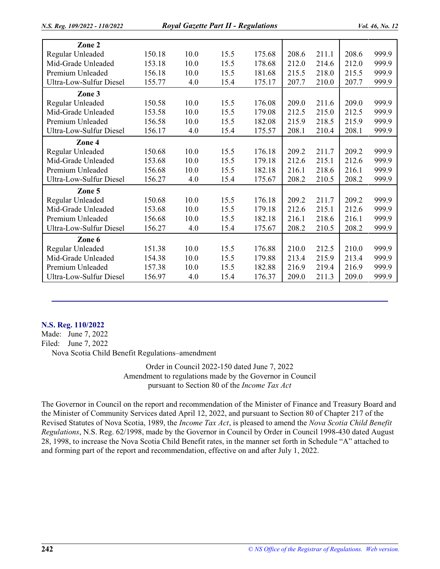| Zone 2                         |        |      |      |        |       |       |       |       |
|--------------------------------|--------|------|------|--------|-------|-------|-------|-------|
| Regular Unleaded               | 150.18 | 10.0 | 15.5 | 175.68 | 208.6 | 211.1 | 208.6 | 999.9 |
| Mid-Grade Unleaded             | 153.18 | 10.0 | 15.5 | 178.68 | 212.0 | 214.6 | 212.0 | 999.9 |
| Premium Unleaded               | 156.18 | 10.0 | 15.5 | 181.68 | 215.5 | 218.0 | 215.5 | 999.9 |
| <b>Ultra-Low-Sulfur Diesel</b> | 155.77 | 4.0  | 15.4 | 175.17 | 207.7 | 210.0 | 207.7 | 999.9 |
| Zone 3                         |        |      |      |        |       |       |       |       |
| Regular Unleaded               | 150.58 | 10.0 | 15.5 | 176.08 | 209.0 | 211.6 | 209.0 | 999.9 |
| Mid-Grade Unleaded             | 153.58 | 10.0 | 15.5 | 179.08 | 212.5 | 215.0 | 212.5 | 999.9 |
| Premium Unleaded               | 156.58 | 10.0 | 15.5 | 182.08 | 215.9 | 218.5 | 215.9 | 999.9 |
| Ultra-Low-Sulfur Diesel        | 156.17 | 4.0  | 15.4 | 175.57 | 208.1 | 210.4 | 208.1 | 999.9 |
| Zone 4                         |        |      |      |        |       |       |       |       |
| Regular Unleaded               | 150.68 | 10.0 | 15.5 | 176.18 | 209.2 | 211.7 | 209.2 | 999.9 |
| Mid-Grade Unleaded             | 153.68 | 10.0 | 15.5 | 179.18 | 212.6 | 215.1 | 212.6 | 999.9 |
| Premium Unleaded               | 156.68 | 10.0 | 15.5 | 182.18 | 216.1 | 218.6 | 216.1 | 999.9 |
| Ultra-Low-Sulfur Diesel        | 156.27 | 4.0  | 15.4 | 175.67 | 208.2 | 210.5 | 208.2 | 999.9 |
| Zone 5                         |        |      |      |        |       |       |       |       |
| Regular Unleaded               | 150.68 | 10.0 | 15.5 | 176.18 | 209.2 | 211.7 | 209.2 | 999.9 |
| Mid-Grade Unleaded             | 153.68 | 10.0 | 15.5 | 179.18 | 212.6 | 215.1 | 212.6 | 999.9 |
| Premium Unleaded               | 156.68 | 10.0 | 15.5 | 182.18 | 216.1 | 218.6 | 216.1 | 999.9 |
| Ultra-Low-Sulfur Diesel        | 156.27 | 4.0  | 15.4 | 175.67 | 208.2 | 210.5 | 208.2 | 999.9 |
| Zone 6                         |        |      |      |        |       |       |       |       |
| Regular Unleaded               | 151.38 | 10.0 | 15.5 | 176.88 | 210.0 | 212.5 | 210.0 | 999.9 |
| Mid-Grade Unleaded             | 154.38 | 10.0 | 15.5 | 179.88 | 213.4 | 215.9 | 213.4 | 999.9 |
| Premium Unleaded               | 157.38 | 10.0 | 15.5 | 182.88 | 216.9 | 219.4 | 216.9 | 999.9 |
| <b>Ultra-Low-Sulfur Diesel</b> | 156.97 | 4.0  | 15.4 | 176.37 | 209.0 | 211.3 | 209.0 | 999.9 |

### **N.S. Reg. 110/2022**

Made: June 7, 2022 Filed: June 7, 2022 Nova Scotia Child Benefit Regulations–amendment

> Order in Council 2022-150 dated June 7, 2022 Amendment to regulations made by the Governor in Council pursuant to Section 80 of the *Income Tax Act*

The Governor in Council on the report and recommendation of the Minister of Finance and Treasury Board and the Minister of Community Services dated April 12, 2022, and pursuant to Section 80 of Chapter 217 of the Revised Statutes of Nova Scotia, 1989, the *Income Tax Act*, is pleased to amend the *Nova Scotia Child Benefit Regulations*, N.S. Reg. 62/1998, made by the Governor in Council by Order in Council 1998-430 dated August 28, 1998, to increase the Nova Scotia Child Benefit rates, in the manner set forth in Schedule "A" attached to and forming part of the report and recommendation, effective on and after July 1, 2022.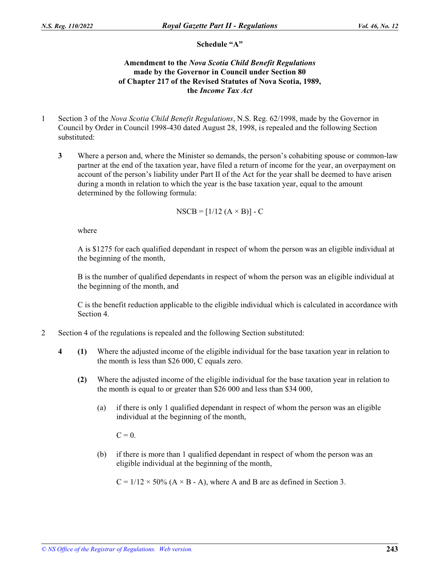# **Schedule "A"**

# **Amendment to the** *Nova Scotia Child Benefit Regulations*  **made by the Governor in Council under Section 80 of Chapter 217 of the Revised Statutes of Nova Scotia, 1989, the** *Income Tax Act*

- 1 Section 3 of the *Nova Scotia Child Benefit Regulations*, N.S. Reg. 62/1998, made by the Governor in Council by Order in Council 1998-430 dated August 28, 1998, is repealed and the following Section substituted:
	- **3** Where a person and, where the Minister so demands, the person's cohabiting spouse or common-law partner at the end of the taxation year, have filed a return of income for the year, an overpayment on account of the person's liability under Part II of the Act for the year shall be deemed to have arisen during a month in relation to which the year is the base taxation year, equal to the amount determined by the following formula:

$$
NSCB = [1/12 (A \times B)] - C
$$

where

A is \$1275 for each qualified dependant in respect of whom the person was an eligible individual at the beginning of the month,

B is the number of qualified dependants in respect of whom the person was an eligible individual at the beginning of the month, and

C is the benefit reduction applicable to the eligible individual which is calculated in accordance with Section 4.

- 2 Section 4 of the regulations is repealed and the following Section substituted:
	- **4 (1)** Where the adjusted income of the eligible individual for the base taxation year in relation to the month is less than \$26 000, C equals zero.
		- **(2)** Where the adjusted income of the eligible individual for the base taxation year in relation to the month is equal to or greater than \$26 000 and less than \$34 000,
			- (a) if there is only 1 qualified dependant in respect of whom the person was an eligible individual at the beginning of the month,

 $C = 0$ .

(b) if there is more than 1 qualified dependant in respect of whom the person was an eligible individual at the beginning of the month,

 $C = 1/12 \times 50\%$  (A  $\times$  B - A), where A and B are as defined in Section 3.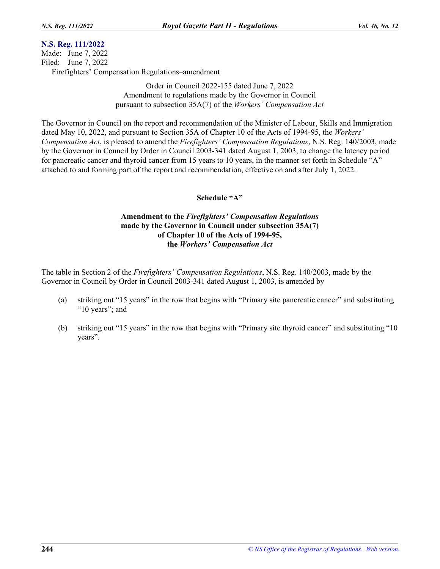# **N.S. Reg. 111/2022**

Made: June 7, 2022 Filed: June 7, 2022 Firefighters' Compensation Regulations–amendment

> Order in Council 2022-155 dated June 7, 2022 Amendment to regulations made by the Governor in Council pursuant to subsection 35A(7) of the *Workers' Compensation Act*

The Governor in Council on the report and recommendation of the Minister of Labour, Skills and Immigration dated May 10, 2022, and pursuant to Section 35A of Chapter 10 of the Acts of 1994-95, the *Workers' Compensation Act*, is pleased to amend the *Firefighters' Compensation Regulations*, N.S. Reg. 140/2003, made by the Governor in Council by Order in Council 2003-341 dated August 1, 2003, to change the latency period for pancreatic cancer and thyroid cancer from 15 years to 10 years, in the manner set forth in Schedule "A" attached to and forming part of the report and recommendation, effective on and after July 1, 2022.

# **Schedule "A"**

# **Amendment to the** *Firefighters' Compensation Regulations*  **made by the Governor in Council under subsection 35A(7) of Chapter 10 of the Acts of 1994-95, the** *Workers' Compensation Act*

The table in Section 2 of the *Firefighters' Compensation Regulations*, N.S. Reg. 140/2003, made by the Governor in Council by Order in Council 2003-341 dated August 1, 2003, is amended by

- (a) striking out "15 years" in the row that begins with "Primary site pancreatic cancer" and substituting "10 years"; and
- (b) striking out "15 years" in the row that begins with "Primary site thyroid cancer" and substituting "10 years".